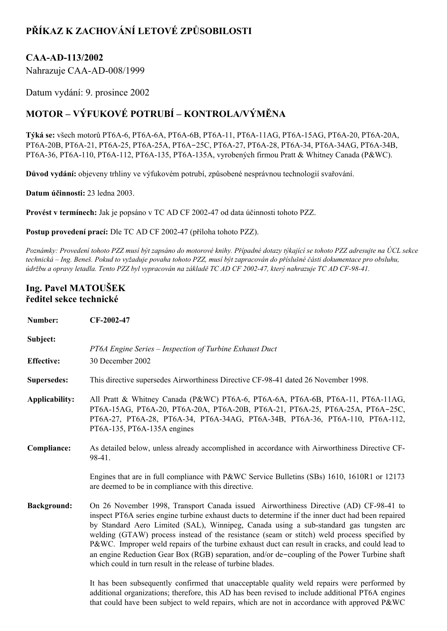## **PŘÍKAZ K ZACHOVÁNÍ LETOVÉ ZPŮSOBILOSTI**

## **CAAAD113/2002**

Nahrazuje CAA-AD-008/1999

Datum vydání: 9. prosince 2002

## **MOTOR – VÝFUKOVÉ POTRUBÍ – KONTROLA/VÝMĚNA**

Týká se: všech motorů PT6A-6, PT6A-6A, PT6A-6B, PT6A-11, PT6A-11AG, PT6A-15AG, PT6A-20, PT6A-20A, PT6A-20B, PT6A-21, PT6A-25, PT6A-25A, PT6A-25C, PT6A-27, PT6A-28, PT6A-34, PT6A-34AG, PT6A-34B, PT6A-36, PT6A-110, PT6A-112, PT6A-135, PT6A-135A, vyrobených firmou Pratt & Whitney Canada (P&WC).

**Důvod vydání:** objeveny trhliny ve výfukovém potrubí, způsobené nesprávnou technologií svařování.

**Datum účinnosti:** 23 ledna 2003.

**Provést v termínech:** Jak je popsáno v TC AD CF 200247 od data účinnosti tohoto PZZ.

**Postup provedení prací:** Dle TC AD CF 200247 (příloha tohoto PZZ).

Poznámky: Provedení tohoto PZZ musí být zapsáno do motorové knihy. Případné dotazy týkající se tohoto PZZ adresujte na ÚCL sekce technická – Ing. Beneš. Pokud to vyžaduje povaha tohoto PZZ, musí být zapracován do příslušné části dokumentace pro obsluhu, údržbu a opravy letadla. Tento PZZ byl vypracován na základě TC AD CF 2002-47, který nahrazuje TC AD CF-98-41.

## **Ing. Pavel MATOUŠEK ředitel sekce technické**

| Number:            | CF-2002-47                                                                                                                                                                                                                                                                                                                                                                                                                                                                                                                                                                                                                                             |
|--------------------|--------------------------------------------------------------------------------------------------------------------------------------------------------------------------------------------------------------------------------------------------------------------------------------------------------------------------------------------------------------------------------------------------------------------------------------------------------------------------------------------------------------------------------------------------------------------------------------------------------------------------------------------------------|
| Subject:           | PT6A Engine Series - Inspection of Turbine Exhaust Duct                                                                                                                                                                                                                                                                                                                                                                                                                                                                                                                                                                                                |
| <b>Effective:</b>  | 30 December 2002                                                                                                                                                                                                                                                                                                                                                                                                                                                                                                                                                                                                                                       |
| <b>Supersedes:</b> | This directive supersedes Airworthiness Directive CF-98-41 dated 26 November 1998.                                                                                                                                                                                                                                                                                                                                                                                                                                                                                                                                                                     |
| Applicability:     | All Pratt & Whitney Canada (P&WC) PT6A-6, PT6A-6A, PT6A-6B, PT6A-11, PT6A-11AG,<br>PT6A-15AG, PT6A-20, PT6A-20A, PT6A-20B, PT6A-21, PT6A-25, PT6A-25A, PT6A-25C,<br>PT6A-27, PT6A-28, PT6A-34, PT6A-34AG, PT6A-34B, PT6A-36, PT6A-110, PT6A-112,<br>PT6A-135, PT6A-135A engines                                                                                                                                                                                                                                                                                                                                                                        |
| Compliance:        | As detailed below, unless already accomplished in accordance with Airworthiness Directive CF-<br>98-41.                                                                                                                                                                                                                                                                                                                                                                                                                                                                                                                                                |
|                    | Engines that are in full compliance with P&WC Service Bulletins (SBs) 1610, 1610R1 or 12173<br>are deemed to be in compliance with this directive.                                                                                                                                                                                                                                                                                                                                                                                                                                                                                                     |
| <b>Background:</b> | On 26 November 1998, Transport Canada issued Airworthiness Directive (AD) CF-98-41 to<br>inspect PT6A series engine turbine exhaust ducts to determine if the inner duct had been repaired<br>by Standard Aero Limited (SAL), Winnipeg, Canada using a sub-standard gas tungsten arc<br>welding (GTAW) process instead of the resistance (seam or stitch) weld process specified by<br>P&WC. Improper weld repairs of the turbine exhaust duct can result in cracks, and could lead to<br>an engine Reduction Gear Box (RGB) separation, and/or de-coupling of the Power Turbine shaft<br>which could in turn result in the release of turbine blades. |

It has been subsequently confirmed that unacceptable quality weld repairs were performed by additional organizations; therefore, this AD has been revised to include additional PT6A engines that could have been subject to weld repairs, which are not in accordance with approved P&WC